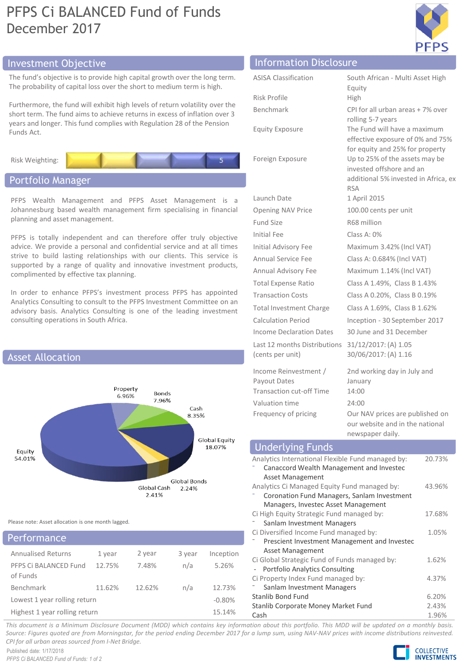# PFPS Ci BALANCED Fund of Funds December 2017



# Investment Objective Information Disclosure

The fund's objective is to provide high capital growth over the long term. The probability of capital loss over the short to medium term is high.

Furthermore, the fund will exhibit high levels of return volatility over the short term. The fund aims to achieve returns in excess of inflation over 3 years and longer. This fund complies with Regulation 28 of the Pension Funds Act.

Risk Weighting:

# Portfolio Manager

PFPS Wealth Management and PFPS Asset Management is a Johannesburg based wealth management firm specialising in financial planning and asset management.

PFPS is totally independent and can therefore offer truly objective advice. We provide a personal and confidential service and at all times strive to build lasting relationships with our clients. This service is supported by a range of quality and innovative investment products, complimented by effective tax planning.

In order to enhance PFPS's investment process PFPS has appointed Analytics Consulting to consult to the PFPS Investment Committee on an advisory basis. Analytics Consulting is one of the leading investment consulting operations in South Africa.



Please note: Asset allocation is one month lagged.

## Annualised Returns 1 year 2 year 3 year Inception PFPS Ci BALANCED Fund of Funds 12.75% 7.48% n/a 5.26% Benchmark 11.62% 12.62% n/a 12.73% Lowest 1 year rolling return  $-0.80\%$ Highest 1 year rolling return 15.14% Performance

| <b>ASISA Classification</b>                      | South African - Multi Asset High                                                                                 |
|--------------------------------------------------|------------------------------------------------------------------------------------------------------------------|
| Risk Profile                                     | Equity<br>High                                                                                                   |
| Benchmark                                        | CPI for all urban areas + 7% over<br>rolling 5-7 years                                                           |
| <b>Equity Exposure</b>                           | The Fund will have a maximum<br>effective exposure of 0% and 75%<br>for equity and 25% for property              |
| Foreign Exposure                                 | Up to 25% of the assets may be<br>invested offshore and an<br>additional 5% invested in Africa, ex<br><b>RSA</b> |
| Launch Date                                      | 1 April 2015                                                                                                     |
| <b>Opening NAV Price</b>                         | 100.00 cents per unit                                                                                            |
| Fund Size                                        | R68 million                                                                                                      |
| <b>Initial Fee</b>                               | Class A: 0%                                                                                                      |
| Initial Advisory Fee                             | Maximum 3.42% (Incl VAT)                                                                                         |
| Annual Service Fee                               | Class A: 0.684% (Incl VAT)                                                                                       |
| Annual Advisory Fee                              | Maximum 1.14% (Incl VAT)                                                                                         |
| <b>Total Expense Ratio</b>                       | Class A 1.49%, Class B 1.43%                                                                                     |
| <b>Transaction Costs</b>                         | Class A 0.20%, Class B 0.19%                                                                                     |
| <b>Total Investment Charge</b>                   | Class A 1.69%, Class B 1.62%                                                                                     |
| <b>Calculation Period</b>                        | Inception - 30 September 2017                                                                                    |
| Income Declaration Dates                         | 30 June and 31 December                                                                                          |
| Last 12 months Distributions<br>(cents per unit) | 31/12/2017: (A) 1.05<br>30/06/2017: (A) 1.16                                                                     |
| Income Reinvestment /                            | 2nd working day in July and                                                                                      |
| <b>Payout Dates</b>                              | January                                                                                                          |
| <b>Transaction cut-off Time</b>                  | 14:00                                                                                                            |
| Valuation time                                   | 24:00                                                                                                            |
| Frequency of pricing                             | Our NAV prices are published on<br>our website and in the national                                               |

# Underlying Funds

| 20.73%<br>43.96% |
|------------------|
|                  |
|                  |
|                  |
|                  |
|                  |
|                  |
| 17.68%           |
|                  |
| 1.05%            |
|                  |
|                  |
| 1.62%            |
|                  |
| 4.37%            |
|                  |
| 6.20%            |
| 2.43%            |
| 1.96%            |
|                  |

newspaper daily.

This document is a Minimum Disclosure Document (MDD) which contains key information about this portfolio. This MDD will be updated on a monthly basis. Source: Figures quoted are from Morningstar, for the period ending December 2017 for a lump sum, using NAV-NAV prices with income distributions reinvested. *CPI for all urban areas sourced from I-Net Bridge.*

Published date: 1/17/2018 *PFPS Ci BALANCED Fund of Funds: 1 of 2*